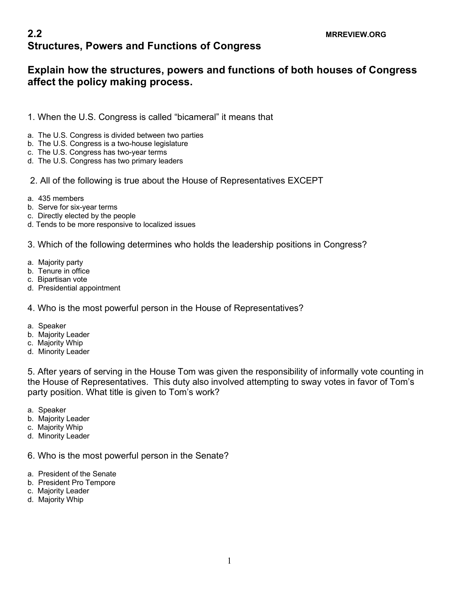## **2.2** MRREVIEW.ORG **Structures, Powers and Functions of Congress**

## **Explain how the structures, powers and functions of both houses of Congress affect the policy making process.**

- 1. When the U.S. Congress is called "bicameral" it means that
- a. The U.S. Congress is divided between two parties
- b. The U.S. Congress is a two-house legislature
- c. The U.S. Congress has two-year terms
- d. The U.S. Congress has two primary leaders
- 2. All of the following is true about the House of Representatives EXCEPT
- a. 435 members
- b. Serve for six-year terms
- c. Directly elected by the people
- d. Tends to be more responsive to localized issues
- 3. Which of the following determines who holds the leadership positions in Congress?
- a. Majority party
- b. Tenure in office
- c. Bipartisan vote
- d. Presidential appointment

## 4. Who is the most powerful person in the House of Representatives?

- a. Speaker
- b. Majority Leader
- c. Majority Whip
- d. Minority Leader

5. After years of serving in the House Tom was given the responsibility of informally vote counting in the House of Representatives. This duty also involved attempting to sway votes in favor of Tom's party position. What title is given to Tom's work?

- a. Speaker
- b. Majority Leader
- c. Majority Whip
- d. Minority Leader

6. Who is the most powerful person in the Senate?

- a. President of the Senate
- b. President Pro Tempore
- c. Majority Leader
- d. Majority Whip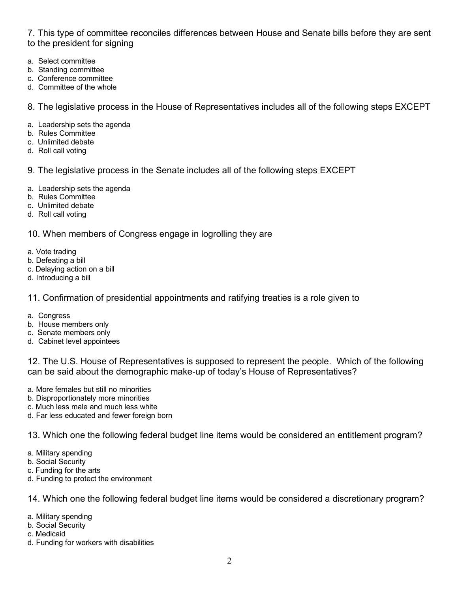7. This type of committee reconciles differences between House and Senate bills before they are sent to the president for signing

- a. Select committee
- b. Standing committee
- c. Conference committee
- d. Committee of the whole

8. The legislative process in the House of Representatives includes all of the following steps EXCEPT

- a. Leadership sets the agenda
- b. Rules Committee
- c. Unlimited debate
- d. Roll call voting
- 9. The legislative process in the Senate includes all of the following steps EXCEPT
- a. Leadership sets the agenda
- b. Rules Committee
- c. Unlimited debate
- d. Roll call voting

10. When members of Congress engage in logrolling they are

- a. Vote trading
- b. Defeating a bill
- c. Delaying action on a bill
- d. Introducing a bill

11. Confirmation of presidential appointments and ratifying treaties is a role given to

- a. Congress
- b. House members only
- c. Senate members only
- d. Cabinet level appointees

12. The U.S. House of Representatives is supposed to represent the people. Which of the following can be said about the demographic make-up of today's House of Representatives?

- a. More females but still no minorities
- b. Disproportionately more minorities
- c. Much less male and much less white
- d. Far less educated and fewer foreign born

13. Which one the following federal budget line items would be considered an entitlement program?

- a. Military spending
- b. Social Security
- c. Funding for the arts
- d. Funding to protect the environment

14. Which one the following federal budget line items would be considered a discretionary program?

- a. Military spending
- b. Social Security
- c. Medicaid
- d. Funding for workers with disabilities